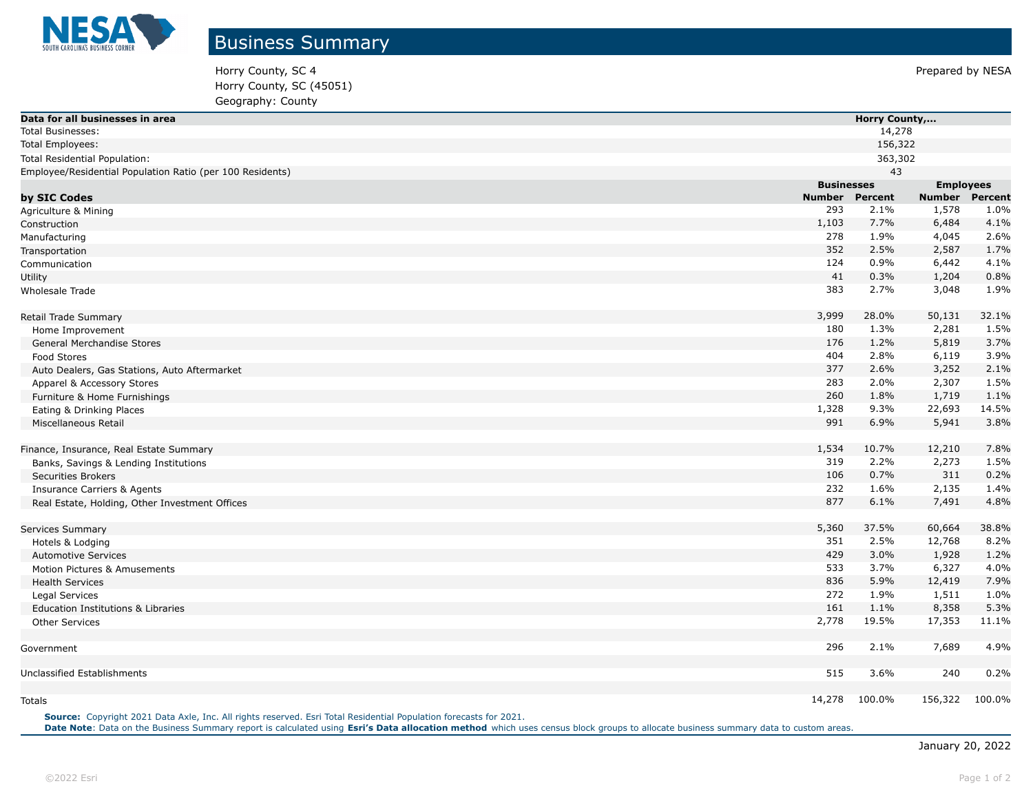

Horry County, SC 4 Prepared by NESA Horry County, SC (45051) Geography: County

| Data for all businesses in area                                                                                   |        | <b>Horry County,</b> |                       |        |  |
|-------------------------------------------------------------------------------------------------------------------|--------|----------------------|-----------------------|--------|--|
| Total Businesses:                                                                                                 |        | 14,278               |                       |        |  |
| Total Employees:                                                                                                  |        | 156,322              |                       |        |  |
| Total Residential Population:                                                                                     |        | 363,302              |                       |        |  |
| Employee/Residential Population Ratio (per 100 Residents)                                                         |        | 43                   |                       |        |  |
|                                                                                                                   |        | <b>Businesses</b>    | <b>Employees</b>      |        |  |
| by SIC Codes                                                                                                      | Number | <b>Percent</b>       | <b>Number Percent</b> |        |  |
| Agriculture & Mining                                                                                              | 293    | 2.1%                 | 1,578                 | 1.0%   |  |
| Construction                                                                                                      | 1,103  | 7.7%                 | 6,484                 | 4.1%   |  |
| Manufacturing                                                                                                     | 278    | 1.9%                 | 4,045                 | 2.6%   |  |
| Transportation                                                                                                    | 352    | 2.5%                 | 2,587                 | 1.7%   |  |
| Communication                                                                                                     | 124    | 0.9%                 | 6,442                 | 4.1%   |  |
| Utility                                                                                                           | 41     | 0.3%                 | 1,204                 | 0.8%   |  |
| Wholesale Trade                                                                                                   | 383    | 2.7%                 | 3,048                 | 1.9%   |  |
| Retail Trade Summary                                                                                              | 3,999  | 28.0%                | 50,131                | 32.1%  |  |
| Home Improvement                                                                                                  | 180    | 1.3%                 | 2,281                 | 1.5%   |  |
| General Merchandise Stores                                                                                        | 176    | 1.2%                 | 5,819                 | 3.7%   |  |
| Food Stores                                                                                                       | 404    | 2.8%                 | 6,119                 | 3.9%   |  |
| Auto Dealers, Gas Stations, Auto Aftermarket                                                                      | 377    | 2.6%                 | 3,252                 | 2.1%   |  |
| Apparel & Accessory Stores                                                                                        | 283    | 2.0%                 | 2,307                 | 1.5%   |  |
| Furniture & Home Furnishings                                                                                      | 260    | 1.8%                 | 1,719                 | 1.1%   |  |
| Eating & Drinking Places                                                                                          | 1,328  | 9.3%                 | 22,693                | 14.5%  |  |
| Miscellaneous Retail                                                                                              | 991    | 6.9%                 | 5,941                 | 3.8%   |  |
| Finance, Insurance, Real Estate Summary                                                                           | 1,534  | 10.7%                | 12,210                | 7.8%   |  |
| Banks, Savings & Lending Institutions                                                                             | 319    | 2.2%                 | 2,273                 | 1.5%   |  |
| <b>Securities Brokers</b>                                                                                         | 106    | 0.7%                 | 311                   | 0.2%   |  |
| <b>Insurance Carriers &amp; Agents</b>                                                                            | 232    | 1.6%                 | 2,135                 | 1.4%   |  |
| Real Estate, Holding, Other Investment Offices                                                                    | 877    | 6.1%                 | 7,491                 | 4.8%   |  |
| <b>Services Summary</b>                                                                                           | 5,360  | 37.5%                | 60,664                | 38.8%  |  |
| Hotels & Lodging                                                                                                  | 351    | 2.5%                 | 12,768                | 8.2%   |  |
| <b>Automotive Services</b>                                                                                        | 429    | 3.0%                 | 1,928                 | 1.2%   |  |
| Motion Pictures & Amusements                                                                                      | 533    | 3.7%                 | 6,327                 | 4.0%   |  |
| <b>Health Services</b>                                                                                            | 836    | 5.9%                 | 12,419                | 7.9%   |  |
| Legal Services                                                                                                    | 272    | 1.9%                 | 1,511                 | 1.0%   |  |
| Education Institutions & Libraries                                                                                | 161    | 1.1%                 | 8,358                 | 5.3%   |  |
| <b>Other Services</b>                                                                                             | 2,778  | 19.5%                | 17,353                | 11.1%  |  |
| Government                                                                                                        | 296    | 2.1%                 | 7,689                 | 4.9%   |  |
| Unclassified Establishments                                                                                       | 515    | 3.6%                 | 240                   | 0.2%   |  |
| Totals                                                                                                            | 14,278 | 100.0%               | 156,322               | 100.0% |  |
| Source: Copyright 2021 Data Axle, Inc. All rights reserved. Esri Total Residential Population forecasts for 2021. |        |                      |                       |        |  |

Date Note: Data on the Business Summary report is calculated using [Esri's Data allocation method](http://doc.arcgis.com/en/esri-demographics/reference/data-allocation-method.htm) which uses census block groups to allocate business summary data to custom areas.

January 20, 2022